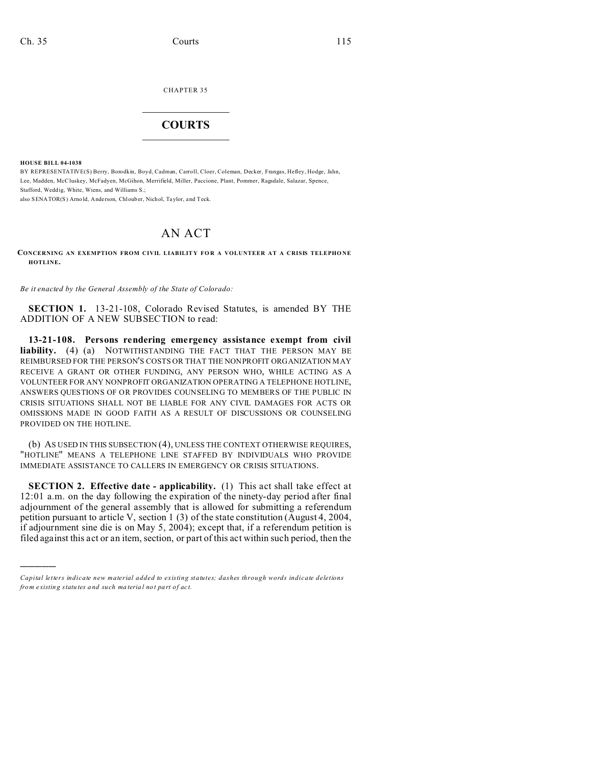CHAPTER 35

## $\overline{\phantom{a}}$  , where  $\overline{\phantom{a}}$ **COURTS**  $\_$

**HOUSE BILL 04-1038**

)))))

BY REPRESENTATIVE(S) Berry, Borodkin, Boyd, Cadman, Carroll, Cloer, Coleman, Decker, Frangas, Hefley, Hodge, Jahn, Lee, Madden, McCluskey, McFadyen, McGihon, Merrifield, Miller, Paccione, Plant, Pommer, Ragsdale, Salazar, Spence, Stafford, Weddig, White, Wiens, and Williams S.; also SENATOR(S) Arno ld, Ande rson, Chloub er, Nichol, Taylor, and Teck.

## AN ACT

**CONCERNING AN EXEMPTION FROM CIVIL LIABILIT Y FO R A VOLUNTEER AT A CRISIS TELEPHO NE HOTLINE.**

*Be it enacted by the General Assembly of the State of Colorado:*

**SECTION 1.** 13-21-108, Colorado Revised Statutes, is amended BY THE ADDITION OF A NEW SUBSECTION to read:

**13-21-108. Persons rendering emergency assistance exempt from civil liability.** (4) (a) NOTWITHSTANDING THE FACT THAT THE PERSON MAY BE REIMBURSED FOR THE PERSON'S COSTS OR THAT THE NONPROFIT ORGANIZATION MAY RECEIVE A GRANT OR OTHER FUNDING, ANY PERSON WHO, WHILE ACTING AS A VOLUNTEER FOR ANY NONPROFIT ORGANIZATION OPERATING A TELEPHONE HOTLINE, ANSWERS QUESTIONS OF OR PROVIDES COUNSELING TO MEMBERS OF THE PUBLIC IN CRISIS SITUATIONS SHALL NOT BE LIABLE FOR ANY CIVIL DAMAGES FOR ACTS OR OMISSIONS MADE IN GOOD FAITH AS A RESULT OF DISCUSSIONS OR COUNSELING PROVIDED ON THE HOTLINE.

(b) AS USED IN THIS SUBSECTION (4), UNLESS THE CONTEXT OTHERWISE REQUIRES, "HOTLINE" MEANS A TELEPHONE LINE STAFFED BY INDIVIDUALS WHO PROVIDE IMMEDIATE ASSISTANCE TO CALLERS IN EMERGENCY OR CRISIS SITUATIONS.

**SECTION 2. Effective date - applicability.** (1) This act shall take effect at 12:01 a.m. on the day following the expiration of the ninety-day period after final adjournment of the general assembly that is allowed for submitting a referendum petition pursuant to article V, section 1 (3) of the state constitution (August 4, 2004, if adjournment sine die is on May 5, 2004); except that, if a referendum petition is filed against this act or an item, section, or part of this act within such period, then the

*Capital letters indicate new material added to existing statutes; dashes through words indicate deletions from e xistin g statu tes a nd such ma teria l no t pa rt of ac t.*